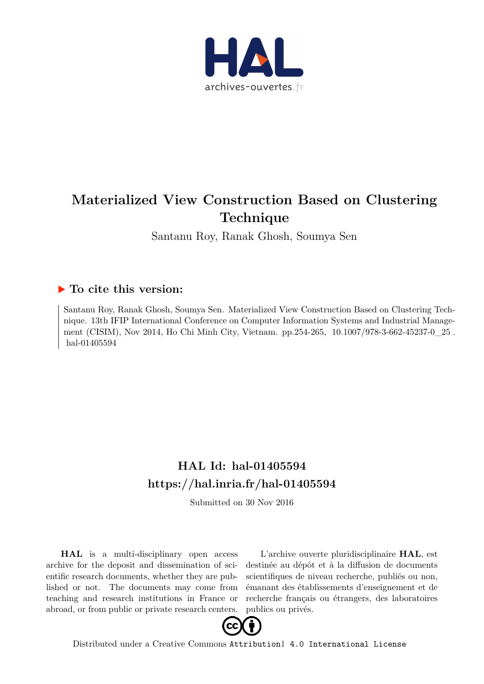

# **Materialized View Construction Based on Clustering Technique**

Santanu Roy, Ranak Ghosh, Soumya Sen

# **To cite this version:**

Santanu Roy, Ranak Ghosh, Soumya Sen. Materialized View Construction Based on Clustering Technique. 13th IFIP International Conference on Computer Information Systems and Industrial Management (CISIM), Nov 2014, Ho Chi Minh City, Vietnam. pp.254-265, 10.1007/978-3-662-45237-0\_25. hal-01405594

# **HAL Id: hal-01405594 <https://hal.inria.fr/hal-01405594>**

Submitted on 30 Nov 2016

**HAL** is a multi-disciplinary open access archive for the deposit and dissemination of scientific research documents, whether they are published or not. The documents may come from teaching and research institutions in France or abroad, or from public or private research centers.

L'archive ouverte pluridisciplinaire **HAL**, est destinée au dépôt et à la diffusion de documents scientifiques de niveau recherche, publiés ou non, émanant des établissements d'enseignement et de recherche français ou étrangers, des laboratoires publics ou privés.



Distributed under a Creative Commons [Attribution| 4.0 International License](http://creativecommons.org/licenses/by/4.0/)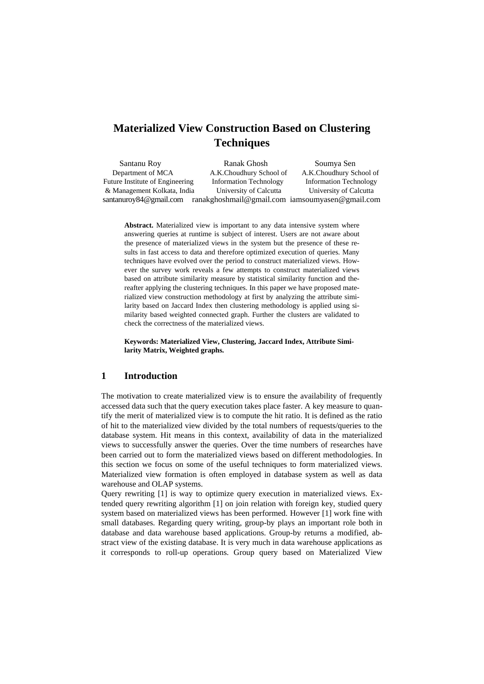# **Materialized View Construction Based on Clustering Techniques**

| Santanu Roy                     | Ranak Ghosh                                                            | Soumya Sen                    |
|---------------------------------|------------------------------------------------------------------------|-------------------------------|
| Department of MCA               | A.K.Choudhury School of                                                | A.K.Choudhury School of       |
| Future Institute of Engineering | <b>Information Technology</b>                                          | <b>Information Technology</b> |
| & Management Kolkata, India     | University of Calcutta                                                 | University of Calcutta        |
|                                 | santanuroy84@gmail.com ranakghoshmail@gmail.com iamsoumyasen@gmail.com |                               |

**Abstract.** Materialized view is important to any data intensive system where answering queries at runtime is subject of interest. Users are not aware about the presence of materialized views in the system but the presence of these results in fast access to data and therefore optimized execution of queries. Many techniques have evolved over the period to construct materialized views. However the survey work reveals a few attempts to construct materialized views based on attribute similarity measure by statistical similarity function and thereafter applying the clustering techniques. In this paper we have proposed materialized view construction methodology at first by analyzing the attribute similarity based on Jaccard Index then clustering methodology is applied using similarity based weighted connected graph. Further the clusters are validated to check the correctness of the materialized views.

**Keywords: Materialized View, Clustering, Jaccard Index, Attribute Similarity Matrix, Weighted graphs.**

### **1 Introduction**

The motivation to create materialized view is to ensure the availability of frequently accessed data such that the query execution takes place faster. A key measure to quantify the merit of materialized view is to compute the hit ratio. It is defined as the ratio of hit to the materialized view divided by the total numbers of requests/queries to the database system. Hit means in this context, availability of data in the materialized views to successfully answer the queries. Over the time numbers of researches have been carried out to form the materialized views based on different methodologies. In this section we focus on some of the useful techniques to form materialized views. Materialized view formation is often employed in database system as well as data warehouse and OLAP systems.

Query rewriting [1] is way to optimize query execution in materialized views. Extended query rewriting algorithm [1] on join relation with foreign key, studied query system based on materialized views has been performed. However [1] work fine with small databases. Regarding query writing, group-by plays an important role both in database and data warehouse based applications. Group-by returns a modified, abstract view of the existing database. It is very much in data warehouse applications as it corresponds to roll-up operations. Group query based on Materialized View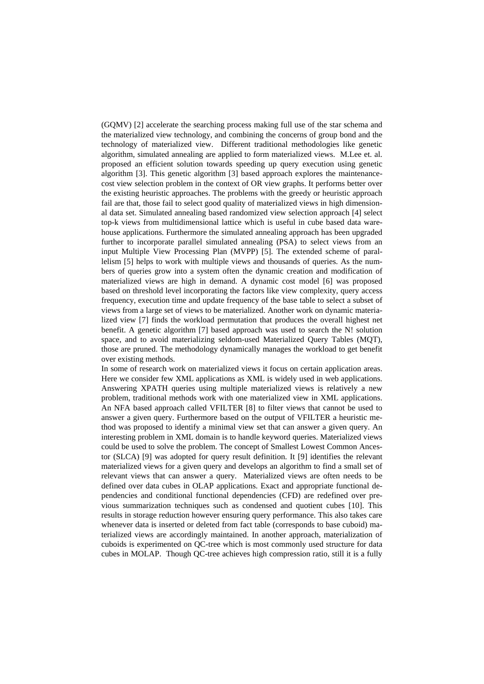(GQMV) [2] accelerate the searching process making full use of the star schema and the materialized view technology, and combining the concerns of group bond and the technology of materialized view. Different traditional methodologies like genetic algorithm, simulated annealing are applied to form materialized views. M.Lee et. al. proposed an efficient solution towards speeding up query execution using genetic algorithm [3]. This genetic algorithm [3] based approach explores the maintenancecost view selection problem in the context of OR view graphs. It performs better over the existing heuristic approaches. The problems with the greedy or heuristic approach fail are that, those fail to select good quality of materialized views in high dimensional data set. Simulated annealing based randomized view selection approach [4] select top-k views from multidimensional lattice which is useful in cube based data warehouse applications. Furthermore the simulated annealing approach has been upgraded further to incorporate parallel simulated annealing (PSA) to select views from an input Multiple View Processing Plan (MVPP) [5]. The extended scheme of parallelism [5] helps to work with multiple views and thousands of queries. As the numbers of queries grow into a system often the dynamic creation and modification of materialized views are high in demand. A dynamic cost model [6] was proposed based on threshold level incorporating the factors like view complexity, query access frequency, execution time and update frequency of the base table to select a subset of views from a large set of views to be materialized. Another work on dynamic materialized view [7] finds the workload permutation that produces the overall highest net benefit. A genetic algorithm [7] based approach was used to search the N! solution space, and to avoid materializing seldom-used Materialized Query Tables (MQT), those are pruned. The methodology dynamically manages the workload to get benefit over existing methods.

In some of research work on materialized views it focus on certain application areas. Here we consider few XML applications as XML is widely used in web applications. Answering XPATH queries using multiple materialized views is relatively a new problem, traditional methods work with one materialized view in XML applications. An NFA based approach called VFILTER [8] to filter views that cannot be used to answer a given query. Furthermore based on the output of VFILTER a heuristic method was proposed to identify a minimal view set that can answer a given query. An interesting problem in XML domain is to handle keyword queries. Materialized views could be used to solve the problem. The concept of Smallest Lowest Common Ancestor (SLCA) [9] was adopted for query result definition. It [9] identifies the relevant materialized views for a given query and develops an algorithm to find a small set of relevant views that can answer a query. Materialized views are often needs to be defined over data cubes in OLAP applications. Exact and appropriate functional dependencies and conditional functional dependencies (CFD) are redefined over previous summarization techniques such as condensed and quotient cubes [10]. This results in storage reduction however ensuring query performance. This also takes care whenever data is inserted or deleted from fact table (corresponds to base cuboid) materialized views are accordingly maintained. In another approach, materialization of cuboids is experimented on QC-tree which is most commonly used structure for data cubes in MOLAP. Though QC-tree achieves high compression ratio, still it is a fully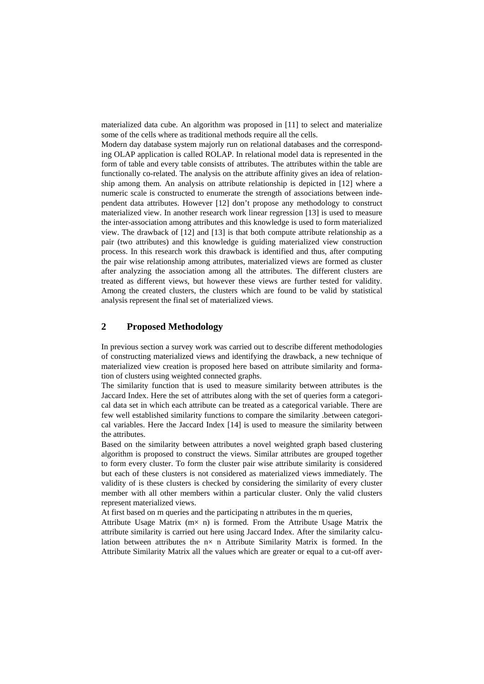materialized data cube. An algorithm was proposed in [11] to select and materialize some of the cells where as traditional methods require all the cells.

Modern day database system majorly run on relational databases and the corresponding OLAP application is called ROLAP. In relational model data is represented in the form of table and every table consists of attributes. The attributes within the table are functionally co-related. The analysis on the attribute affinity gives an idea of relationship among them. An analysis on attribute relationship is depicted in [12] where a numeric scale is constructed to enumerate the strength of associations between independent data attributes. However [12] don't propose any methodology to construct materialized view. In another research work linear regression [13] is used to measure the inter-association among attributes and this knowledge is used to form materialized view. The drawback of [12] and [13] is that both compute attribute relationship as a pair (two attributes) and this knowledge is guiding materialized view construction process. In this research work this drawback is identified and thus, after computing the pair wise relationship among attributes, materialized views are formed as cluster after analyzing the association among all the attributes. The different clusters are treated as different views, but however these views are further tested for validity. Among the created clusters, the clusters which are found to be valid by statistical analysis represent the final set of materialized views.

# **2 Proposed Methodology**

In previous section a survey work was carried out to describe different methodologies of constructing materialized views and identifying the drawback, a new technique of materialized view creation is proposed here based on attribute similarity and formation of clusters using weighted connected graphs.

The similarity function that is used to measure similarity between attributes is the Jaccard Index. Here the set of attributes along with the set of queries form a categorical data set in which each attribute can be treated as a categorical variable. There are few well established similarity functions to compare the similarity .between categorical variables. Here the Jaccard Index [14] is used to measure the similarity between the attributes.

Based on the similarity between attributes a novel weighted graph based clustering algorithm is proposed to construct the views. Similar attributes are grouped together to form every cluster. To form the cluster pair wise attribute similarity is considered but each of these clusters is not considered as materialized views immediately. The validity of is these clusters is checked by considering the similarity of every cluster member with all other members within a particular cluster. Only the valid clusters represent materialized views.

At first based on m queries and the participating n attributes in the m queries,

Attribute Usage Matrix  $(m \times n)$  is formed. From the Attribute Usage Matrix the attribute similarity is carried out here using Jaccard Index. After the similarity calculation between attributes the  $n \times n$  Attribute Similarity Matrix is formed. In the Attribute Similarity Matrix all the values which are greater or equal to a cut-off aver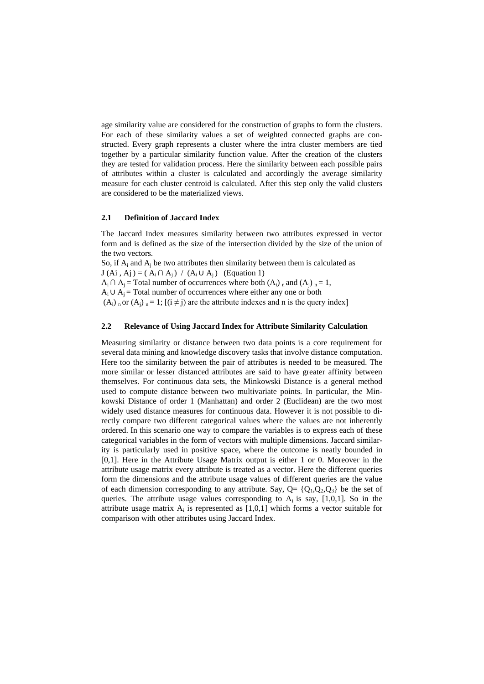age similarity value are considered for the construction of graphs to form the clusters. For each of these similarity values a set of weighted connected graphs are constructed. Every graph represents a cluster where the intra cluster members are tied together by a particular similarity function value. After the creation of the clusters they are tested for validation process. Here the similarity between each possible pairs of attributes within a cluster is calculated and accordingly the average similarity measure for each cluster centroid is calculated. After this step only the valid clusters are considered to be the materialized views.

#### **2.1 Definition of Jaccard Index**

The Jaccard Index measures similarity between two attributes expressed in vector form and is defined as the size of the intersection divided by the size of the union of the two vectors.

So, if  $A_i$  and  $A_j$  be two attributes then similarity between them is calculated as  $J (Ai, Ai) = (A_i \cap A_i) / (A_i \cup A_i)$  (Equation 1)  $A_i \cap A_j$  = Total number of occurrences where both  $(A_i)$  n and  $(A_i)$  n = 1,  $A_i \cup A_j$  = Total number of occurrences where either any one or both

 $(A_i)$  n or  $(A_i)$  n = 1;  $[(i \neq j)$  are the attribute indexes and n is the query index]

#### **2.2 Relevance of Using Jaccard Index for Attribute Similarity Calculation**

Measuring similarity or distance between two data points is a core requirement for several data mining and knowledge discovery tasks that involve distance computation. Here too the similarity between the pair of attributes is needed to be measured. The more similar or lesser distanced attributes are said to have greater affinity between themselves. For continuous data sets, the Minkowski Distance is a general method used to compute distance between two multivariate points. In particular, the Minkowski Distance of order 1 (Manhattan) and order 2 (Euclidean) are the two most widely used distance measures for continuous data. However it is not possible to directly compare two different categorical values where the values are not inherently ordered. In this scenario one way to compare the variables is to express each of these categorical variables in the form of vectors with multiple dimensions. Jaccard similarity is particularly used in positive space, where the outcome is neatly bounded in [0,1]. Here in the Attribute Usage Matrix output is either 1 or 0. Moreover in the attribute usage matrix every attribute is treated as a vector. Here the different queries form the dimensions and the attribute usage values of different queries are the value of each dimension corresponding to any attribute. Say,  $Q = \{Q_1, Q_2, Q_3\}$  be the set of queries. The attribute usage values corresponding to  $A_i$  is say, [1,0,1]. So in the attribute usage matrix  $A_i$  is represented as [1,0,1] which forms a vector suitable for comparison with other attributes using Jaccard Index.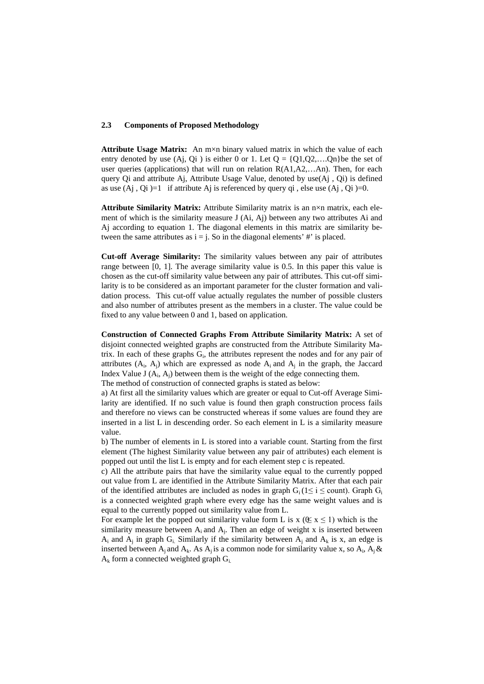#### **2.3 Components of Proposed Methodology**

**Attribute Usage Matrix:** An m×n binary valued matrix in which the value of each entry denoted by use (Aj, Qi ) is either 0 or 1. Let  $Q = \{Q1, Q2, \ldots, Qn\}$  be the set of user queries (applications) that will run on relation R(A1,A2,...An). Then, for each query Qi and attribute Aj, Attribute Usage Value, denoted by use $(Aj, Qi)$  is defined as use  $(Aj, Qi) = 1$  if attribute Aj is referenced by query qi, else use  $(Aj, Qi) = 0$ .

**Attribute Similarity Matrix:** Attribute Similarity matrix is an n×n matrix, each element of which is the similarity measure J (Ai, Aj) between any two attributes Ai and Aj according to equation 1. The diagonal elements in this matrix are similarity between the same attributes as  $i = j$ . So in the diagonal elements' #' is placed.

**Cut-off Average Similarity:** The similarity values between any pair of attributes range between [0, 1]. The average similarity value is 0.5. In this paper this value is chosen as the cut-off similarity value between any pair of attributes. This cut-off similarity is to be considered as an important parameter for the cluster formation and validation process. This cut-off value actually regulates the number of possible clusters and also number of attributes present as the members in a cluster. The value could be fixed to any value between 0 and 1, based on application.

**Construction of Connected Graphs From Attribute Similarity Matrix:** A set of disjoint connected weighted graphs are constructed from the Attribute Similarity Matrix. In each of these graphs  $G_i$ , the attributes represent the nodes and for any pair of attributes  $(A_i, A_j)$  which are expressed as node  $A_i$  and  $A_j$  in the graph, the Jaccard Index Value J  $(A_i, A_j)$  between them is the weight of the edge connecting them. The method of construction of connected graphs is stated as below:

a) At first all the similarity values which are greater or equal to Cut-off Average Similarity are identified. If no such value is found then graph construction process fails and therefore no views can be constructed whereas if some values are found they are inserted in a list L in descending order. So each element in L is a similarity measure value.

b) The number of elements in L is stored into a variable count. Starting from the first element (The highest Similarity value between any pair of attributes) each element is popped out until the list L is empty and for each element step c is repeated.

c) All the attribute pairs that have the similarity value equal to the currently popped out value from L are identified in the Attribute Similarity Matrix. After that each pair of the identified attributes are included as nodes in graph  $G_i$  (1≤ i ≤ count). Graph  $G_i$ is a connected weighted graph where every edge has the same weight values and is equal to the currently popped out similarity value from L.

For example let the popped out similarity value form L is x ( $(X \le 1)$ ) which is the similarity measure between  $A_i$  and  $A_j$ . Then an edge of weight x is inserted between  $A_i$  and  $A_j$  in graph  $G_i$ . Similarly if the similarity between  $A_i$  and  $A_k$  is x, an edge is inserted between  $A_i$  and  $A_k$ . As  $A_i$  is a common node for similarity value x, so  $A_i$ ,  $A_i \&$  $A_k$  form a connected weighted graph  $G_i$ .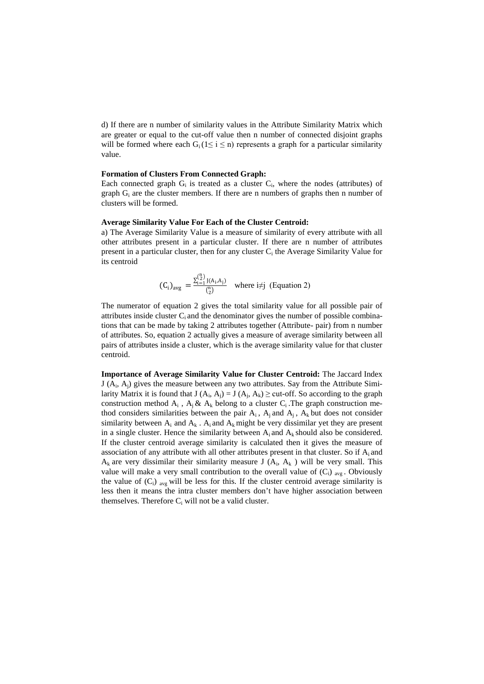d) If there are n number of similarity values in the Attribute Similarity Matrix which are greater or equal to the cut-off value then n number of connected disjoint graphs will be formed where each  $G_i (1 \le i \le n)$  represents a graph for a particular similarity value.

#### **Formation of Clusters From Connected Graph:**

Each connected graph  $G_i$  is treated as a cluster  $C_i$ , where the nodes (attributes) of graph  $G_i$  are the cluster members. If there are n numbers of graphs then n number of clusters will be formed.

#### **Average Similarity Value For Each of the Cluster Centroid:**

a) The Average Similarity Value is a measure of similarity of every attribute with all other attributes present in a particular cluster. If there are n number of attributes present in a particular cluster, then for any cluster  $C_i$  the Average Similarity Value for its centroid

$$
(\mathsf{C}_{\mathsf{i}})_{\text{avg}} = \frac{\Sigma_{\mathsf{i}=1}^{(\frac{n}{2})} \mathsf{J}(\mathsf{A}_{\mathsf{i}} \mathsf{A}_{\mathsf{j}})}{\binom{n}{2}} \quad \text{where } \mathsf{i} \neq \mathsf{j} \text{ (Equation 2)}
$$

The numerator of equation 2 gives the total similarity value for all possible pair of attributes inside cluster  $C_i$  and the denominator gives the number of possible combinations that can be made by taking 2 attributes together (Attribute- pair) from n number of attributes. So, equation 2 actually gives a measure of average similarity between all pairs of attributes inside a cluster, which is the average similarity value for that cluster centroid.

**Importance of Average Similarity Value for Cluster Centroid:** The Jaccard Index  $J(A_i, A_j)$  gives the measure between any two attributes. Say from the Attribute Similarity Matrix it is found that  $J(A_i, A_j) = J(A_i, A_k) \geq \text{cut-off}$ . So according to the graph construction method  $A_i$ ,  $A_j \& A_k$  belong to a cluster  $C_i$ . The graph construction method considers similarities between the pair  $A_i$ ,  $A_i$  and  $A_j$ ,  $A_k$  but does not consider similarity between  $A_i$  and  $A_k$ .  $A_i$  and  $A_k$  might be very dissimilar yet they are present in a single cluster. Hence the similarity between  $A_i$  and  $A_k$  should also be considered. If the cluster centroid average similarity is calculated then it gives the measure of association of any attribute with all other attributes present in that cluster. So if  $A_i$  and  $A_k$  are very dissimilar their similarity measure J  $(A_i, A_k)$  will be very small. This value will make a very small contribution to the overall value of  $(C_i)$  <sub>avg</sub>. Obviously the value of  $(C_i)$  avg will be less for this. If the cluster centroid average similarity is less then it means the intra cluster members don't have higher association between themselves. Therefore  $C_i$  will not be a valid cluster.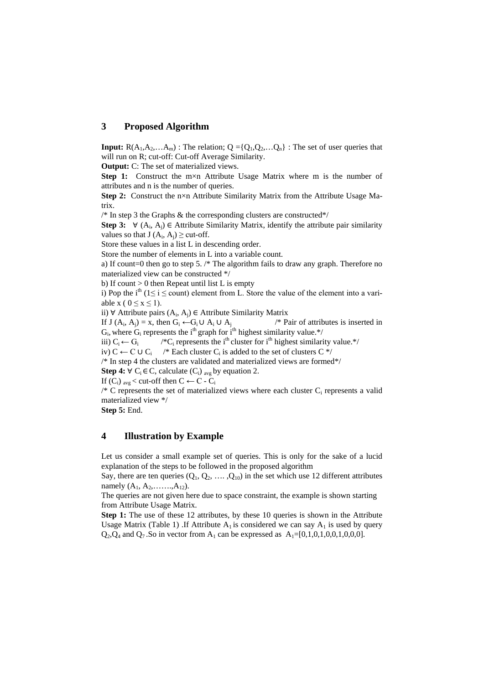# **3 Proposed Algorithm**

**Input:**  $R(A_1, A_2, \ldots, A_m)$ : The relation;  $Q = \{Q_1, Q_2, \ldots, Q_n\}$ : The set of user queries that will run on R; cut-off: Cut-off Average Similarity.

**Output:** C: The set of materialized views.

**Step 1:** Construct the m×n Attribute Usage Matrix where m is the number of attributes and n is the number of queries.

**Step 2:** Construct the n×n Attribute Similarity Matrix from the Attribute Usage Matrix.

 $\frac{1}{8}$  In step 3 the Graphs & the corresponding clusters are constructed\*/

**Step 3:**  $∀ (A<sub>i</sub>, A<sub>i</sub>) ∈$  Attribute Similarity Matrix, identify the attribute pair similarity values so that  $J(A_i, A_j) \geq \text{cut-off}.$ 

Store these values in a list L in descending order.

Store the number of elements in L into a variable count.

a) If count=0 then go to step 5. /\* The algorithm fails to draw any graph. Therefore no materialized view can be constructed \*/

b) If count  $> 0$  then Repeat until list L is empty

i) Pop the i<sup>th</sup> (1≤ i ≤ count) element from L. Store the value of the element into a variable x (  $0 \le x \le 1$ ).

ii) ∀ Attribute pairs  $(A_i, A_j)$  ∈ Attribute Similarity Matrix<br>If J  $(A_i, A_i) = x$ , then  $G_i \leftarrow G_i \cup A_i \cup A_i$  /\* Pair of attributes is inserted in If J  $(A_i, A_j) = x$ , then  $G_i \leftarrow G_i \cup A_i \cup A_j$  /\* Pair of attributes is inserted in  $G_i$ , where  $G_i$  represents the i<sup>th</sup> graph for i<sup>th</sup> highest similarity value.\*/

iii)  $C_i \leftarrow G_i$  /\*C<sub>i</sub> represents the i<sup>th</sup> cluster for i<sup>th</sup> highest similarity value.\*/

iv) C ← C ∪ C<sub>i</sub> /\* Each cluster C<sub>i</sub> is added to the set of clusters C \*/

/\* In step 4 the clusters are validated and materialized views are formed\*/

**Step 4:**  $\forall$  C<sub>i</sub>  $\in$  C, calculate (C<sub>i</sub>) <sub>avg</sub> by equation 2.

If  $(C_i)$  avg < cut-off then  $C \leftarrow C$  -  $C_i$ 

 $/*$  C represents the set of materialized views where each cluster  $C_i$  represents a valid materialized view \*/

**Step 5:** End.

### **4 Illustration by Example**

Let us consider a small example set of queries. This is only for the sake of a lucid explanation of the steps to be followed in the proposed algorithm

Say, there are ten queries  $(Q_1, Q_2, \ldots, Q_{10})$  in the set which use 12 different attributes namely  $(A_1, A_2, \ldots, A_{12})$ .

The queries are not given here due to space constraint, the example is shown starting from Attribute Usage Matrix.

**Step 1:** The use of these 12 attributes, by these 10 queries is shown in the Attribute Usage Matrix (Table 1) .If Attribute  $A_1$  is considered we can say  $A_1$  is used by query  $Q_2, Q_4$  and  $Q_7$ . So in vector from  $A_1$  can be expressed as  $A_1 = [0, 1, 0, 1, 0, 0, 1, 0, 0, 0]$ .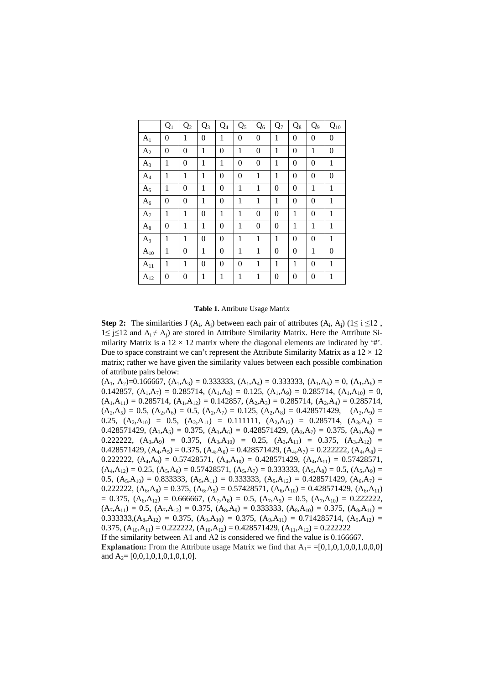|                | $Q_1$            | Q <sub>2</sub> | $Q_3$          | $Q_4$          | Q <sub>5</sub> | $Q_6$          | Q <sub>7</sub>   | $Q_8$          | Q <sub>9</sub> | $Q_{10}$       |
|----------------|------------------|----------------|----------------|----------------|----------------|----------------|------------------|----------------|----------------|----------------|
| $A_1$          | 0                | 1              | $\theta$       | 1              | $\overline{0}$ | $\overline{0}$ | 1                | 0              | $\overline{0}$ | $\overline{0}$ |
| A <sub>2</sub> | $\theta$         | $\theta$       | 1              | $\theta$       | 1              | $\overline{0}$ | 1                | $\overline{0}$ | 1              | $\overline{0}$ |
| $A_3$          | 1                | $\theta$       | 1              | 1              | $\overline{0}$ | $\overline{0}$ | 1                | $\overline{0}$ | 0              | 1              |
| $A_4$          | 1                | 1              | 1              | $\theta$       | $\theta$       | 1              | 1                | $\overline{0}$ | 0              | 0              |
| A <sub>5</sub> | 1                | $\theta$       | 1              | $\theta$       | 1              | 1              | $\theta$         | $\overline{0}$ | 1              | 1              |
| $A_6$          | $\boldsymbol{0}$ | $\theta$       | 1              | $\theta$       | 1              | 1              | 1                | 0              | 0              | 1              |
| $A_7$          | 1                | 1              | $\theta$       | 1              | 1              | 0              | $\theta$         | 1              | 0              | 1              |
| $A_8$          | $\overline{0}$   | 1              | 1              | $\overline{0}$ | 1              | $\overline{0}$ | $\overline{0}$   | 1              | 1              | 1              |
| A <sub>9</sub> | 1                | 1              | $\theta$       | $\overline{0}$ | 1              | 1              | 1                | $\overline{0}$ | 0              | 1              |
| $\rm A_{10}$   | 1                | $\theta$       | 1              | $\overline{0}$ | 1              | 1              | $\overline{0}$   | 0              | 1              | 0              |
| $A_{11}$       | 1                | 1              | $\overline{0}$ | $\overline{0}$ | $\overline{0}$ | 1              | 1                | 1              | $\overline{0}$ | 1              |
| $A_{12}$       | 0                | 0              | 1              | 1              | 1              | 1              | $\boldsymbol{0}$ | 0              | 0              | $\mathbf{1}$   |

**Table 1.** Attribute Usage Matrix

**Step 2:** The similarities J (A<sub>i</sub>, A<sub>i</sub>) between each pair of attributes (A<sub>i</sub>, A<sub>i</sub>) ( $1 \le i \le 12$ , 1≤ j≤12 and  $A_i \neq A_j$ ) are stored in Attribute Similarity Matrix. Here the Attribute Similarity Matrix is a  $12 \times 12$  matrix where the diagonal elements are indicated by '#'. Due to space constraint we can't represent the Attribute Similarity Matrix as a  $12 \times 12$ matrix; rather we have given the similarity values between each possible combination of attribute pairs below:

 $(A_1, A_2) = 0.166667$ ,  $(A_1, A_3) = 0.333333$ ,  $(A_1, A_4) = 0.333333$ ,  $(A_1, A_5) = 0$ ,  $(A_1, A_6) =$ 0.142857,  $(A_1, A_7) = 0.285714$ ,  $(A_1, A_8) = 0.125$ ,  $(A_1, A_9) = 0.285714$ ,  $(A_1, A_{10}) = 0$ ,  $(A_1, A_{11}) = 0.285714, (A_1, A_{12}) = 0.142857, (A_2, A_3) = 0.285714, (A_2, A_4) = 0.285714,$  $(A_2, A_5) = 0.5$ ,  $(A_2, A_6) = 0.5$ ,  $(A_2, A_7) = 0.125$ ,  $(A_2, A_8) = 0.428571429$ ,  $(A_2, A_9) =$ 0.25,  $(A_2, A_{10}) = 0.5$ ,  $(A_2, A_{11}) = 0.111111$ ,  $(A_2, A_{12}) = 0.285714$ ,  $(A_3, A_4) =$ 0.428571429,  $(A_3, A_5) = 0.375$ ,  $(A_3, A_6) = 0.428571429$ ,  $(A_3, A_7) = 0.375$ ,  $(A_3, A_8) =$ 0.222222,  $(A_3, A_9) = 0.375$ ,  $(A_3, A_{10}) = 0.25$ ,  $(A_3, A_{11}) = 0.375$ ,  $(A_3, A_{12}) =$ 0.428571429,  $(A_4, A_5) = 0.375$ ,  $(A_4, A_6) = 0.428571429$ ,  $(A_4, A_7) = 0.222222$ ,  $(A_4, A_8) =$ 0.222222,  $(A_4, A_9) = 0.57428571$ ,  $(A_4, A_{10}) = 0.428571429$ ,  $(A_4, A_{11}) = 0.57428571$ ,  $(A_4, A_{12}) = 0.25, (A_5, A_6) = 0.57428571, (A_5, A_7) = 0.333333, (A_5, A_8) = 0.5, (A_5, A_9) =$ 0.5,  $(A_5, A_{10}) = 0.833333$ ,  $(A_5, A_{11}) = 0.333333$ ,  $(A_5, A_{12}) = 0.428571429$ ,  $(A_6, A_7) =$ 0.222222,  $(A_6, A_8) = 0.375$ ,  $(A_6, A_9) = 0.57428571$ ,  $(A_6, A_{10}) = 0.428571429$ ,  $(A_6, A_{11})$  $= 0.375, (A_6, A_{12}) = 0.666667, (A_7, A_8) = 0.5, (A_7, A_9) = 0.5, (A_7, A_{10}) = 0.222222$  $(A_7,A_{11}) = 0.5$ ,  $(A_7,A_{12}) = 0.375$ ,  $(A_8,A_9) = 0.333333$ ,  $(A_8,A_{10}) = 0.375$ ,  $(A_8,A_{11}) =$  $0.333333$ , $(A_8, A_{12}) = 0.375$ ,  $(A_9, A_{10}) = 0.375$ ,  $(A_9, A_{11}) = 0.714285714$ ,  $(A_9, A_{12}) =$ 0.375,  $(A_{10}, A_{11}) = 0.2222222$ ,  $(A_{10}, A_{12}) = 0.428571429$ ,  $(A_{11}, A_{12}) = 0.2222222$ If the similarity between A1 and A2 is considered we find the value is 0.166667. **Explanation:** From the Attribute usage Matrix we find that  $A_1 = [0,1,0,1,0,0,1,0,0,0]$ 

and  $A_2=[0,0,1,0,1,0,1,0,1,0]$ .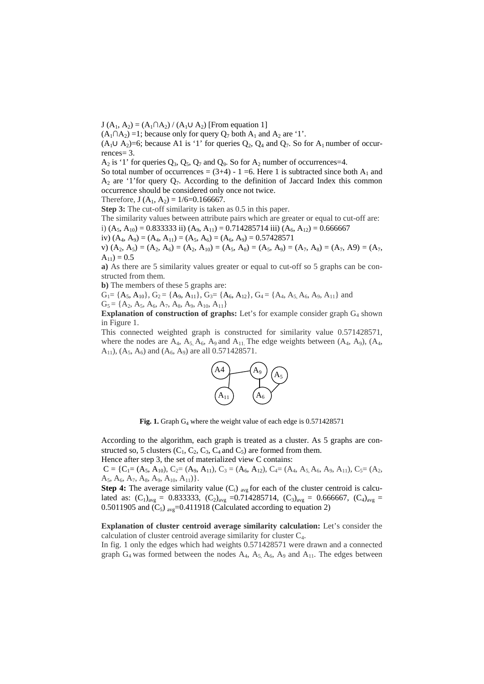$J(A_1, A_2) = (A_1 \cap A_2) / (A_1 \cup A_2)$  [From equation 1]

 $(A_1 \cap A_2) = 1$ ; because only for query  $Q_7$  both  $A_1$  and  $A_2$  are '1'.

 $(A_1 \cup A_2)$ =6; because A1 is '1' for queries  $Q_2$ ,  $Q_4$  and  $Q_7$ . So for  $A_1$  number of occurrences= 3.

 $A_2$  is '1' for queries  $Q_3$ ,  $Q_5$ ,  $Q_7$  and  $Q_9$ . So for  $A_2$  number of occurrences=4.

So total number of occurrences =  $(3+4)$  - 1 =6. Here 1 is subtracted since both A<sub>1</sub> and  $A_2$  are '1'for query  $Q_7$ . According to the definition of Jaccard Index this common occurrence should be considered only once not twice.

Therefore, J  $(A_1, A_2) = 1/6=0.166667$ .

**Step 3:** The cut-off similarity is taken as 0.5 in this paper.

The similarity values between attribute pairs which are greater or equal to cut-off are: i)  $(A_5, A_{10}) = 0.8333333$  ii)  $(A_9, A_{11}) = 0.714285714$  iii)  $(A_6, A_{12}) = 0.666667$ 

iv)  $(A_4, A_9) = (A_4, A_{11}) = (A_5, A_6) = (A_6, A_9) = 0.57428571$ 

v)  $(A_2, A_5) = (A_2, A_6) = (A_2, A_{10}) = (A_5, A_8) = (A_5, A_9) = (A_7, A_8) = (A_7, A_9) = (A_7, A_{10})$  $A_{11}$ ) = 0.5

**a)** As there are 5 similarity values greater or equal to cut-off so 5 graphs can be constructed from them.

**b)** The members of these 5 graphs are:

 $G_1 = \{A_5, A_{10}\}, G_2 = \{A_9, A_{11}\}, G_3 = \{A_6, A_{12}\}, G_4 = \{A_4, A_5, A_6, A_9, A_{11}\}$  and  $G_5 = \{A_2, A_5, A_6, A_7, A_8, A_9, A_{10}, A_{11}\}$ 

**Explanation of construction of graphs:** Let's for example consider graph G<sub>4</sub> shown in Figure 1.

This connected weighted graph is constructed for similarity value 0.571428571, where the nodes are  $A_4$ ,  $A_5$ ,  $A_6$ ,  $A_9$  and  $A_{11}$ . The edge weights between  $(A_4, A_9)$ ,  $(A_4, A_9)$  $A_{11}$ ), (A<sub>5</sub>, A<sub>6</sub>) and (A<sub>6</sub>, A<sub>9</sub>) are all 0.571428571.



Fig. 1. Graph G<sub>4</sub> where the weight value of each edge is 0.571428571

According to the algorithm, each graph is treated as a cluster. As 5 graphs are constructed so, 5 clusters  $(C_1, C_2, C_3, C_4$  and  $C_5$ ) are formed from them.

Hence after step 3, the set of materialized view C contains:

 $C = \{C_1 = (A_5, A_{10}), C_2 = (A_9, A_{11}), C_3 = (A_6, A_{12}), C_4 = (A_4, A_5, A_6, A_9, A_{11}), C_5 = (A_2, A_{12}), C_6 = (A_7, A_{11}), C_7 = (A_8, A_{12}), C_8 = (A_9, A_{12}), C_9 = (A_{11}, A_{12}, A_{13}), C_1 = (A_{11}, A_{12}, A_{13}), C_2 = (A_{12}, A_{13}), C_3 = (A_{13}, A_{13}), C_4 = (A_{14}, A_{15}), C_5 = (A_{$  $A_5$ ,  $A_6$ ,  $A_7$ ,  $A_8$ ,  $A_9$ ,  $A_{10}$ ,  $A_{11}$ }.

**Step 4:** The average similarity value  $(C_i)$  avg for each of the cluster centroid is calculated as:  $(C_1)_{avg} = 0.833333$ ,  $(C_2)_{avg} = 0.714285714$ ,  $(C_3)_{avg} = 0.666667$ ,  $(C_4)_{avg} =$ 0.5011905 and  $(C_5)$  <sub>avg</sub>=0.411918 (Calculated according to equation 2)

**Explanation of cluster centroid average similarity calculation:** Let's consider the calculation of cluster centroid average similarity for cluster C4.

In fig. 1 only the edges which had weights 0.571428571 were drawn and a connected graph  $G_4$  was formed between the nodes  $A_4$ ,  $A_5$ ,  $A_6$ ,  $A_9$  and  $A_{11}$ . The edges between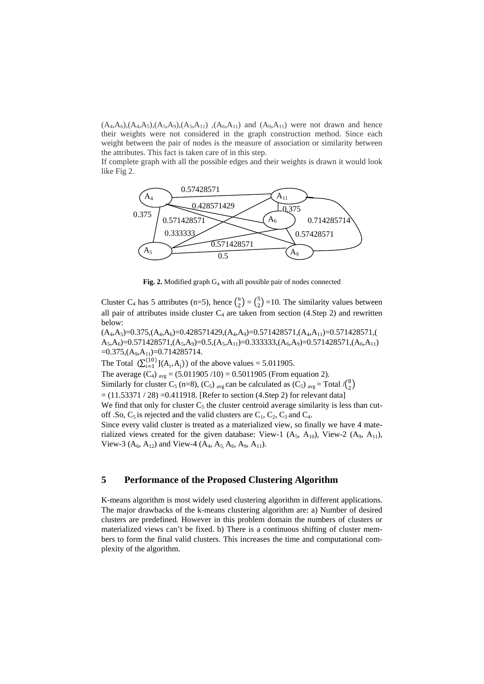$(A_4, A_6)$ , $(A_4, A_5)$ , $(A_5, A_9)$ , $(A_5, A_{11})$ , $(A_6, A_{11})$  and  $(A_9, A_{11})$  were not drawn and hence their weights were not considered in the graph construction method. Since each weight between the pair of nodes is the measure of association or similarity between the attributes. This fact is taken care of in this step.

If complete graph with all the possible edges and their weights is drawn it would look like Fig 2.



**Fig. 2.** Modified graph  $G_4$  with all possible pair of nodes connected

Cluster C<sub>4</sub> has 5 attributes (n=5), hence  $\binom{n}{2} = \binom{5}{2} = 10$ . The similarity values between all pair of attributes inside cluster  $C_4$  are taken from section (4.Step 2) and rewritten below:

 $(A_4, A_5)=0.375, (A_4, A_6)=0.428571429, (A_4, A_9)=0.571428571, (A_4, A_{11})=0.571428571, (A_{11})=0.571428571, (A_{11})=0.571428571, (A_{11})=0.571428571, (A_{11})=0.571428571, (A_{11})=0.571428571, (A_{11})=0.571428571, (A_{11})=0.571428571, (A_{11})=0$  $A_5, A_6$ =0.571428571,( $A_5, A_9$ )=0.5,( $A_5, A_{11}$ )=0.333333,( $A_6, A_9$ )=0.571428571,( $A_6, A_{11}$ )  $=0.375$ ,  $(A_9, A_{11})=0.714285714$ .

The Total  $(\sum_{i=1}^{(10)} J(A_i, A_j))$  of the above values = 5.011905.

The average  $(C_4)$  <sub>avg</sub> = (5.011905 /10) = 0.5011905 (From equation 2).

Similarly for cluster C<sub>5</sub> (n=8), (C<sub>5</sub>) <sub>avg</sub> can be calculated as (C<sub>5</sub>) <sub>avg</sub> = Total / $\binom{8}{2}$ 

 $= (11.53371 / 28) = 0.411918$ . [Refer to section (4.Step 2) for relevant data]

We find that only for cluster  $C_5$  the cluster centroid average similarity is less than cutoff .So,  $C_5$  is rejected and the valid clusters are  $C_1$ ,  $C_2$ ,  $C_3$  and  $C_4$ .

Since every valid cluster is treated as a materialized view, so finally we have 4 materialized views created for the given database: View-1  $(A_5, A_{10})$ , View-2  $(A_9, A_{11})$ , View-3  $(A_6, A_{12})$  and View-4  $(A_4, A_5, A_6, A_9, A_{11})$ .

## **5 Performance of the Proposed Clustering Algorithm**

K-means algorithm is most widely used clustering algorithm in different applications. The major drawbacks of the k-means clustering algorithm are: a) Number of desired clusters are predefined. However in this problem domain the numbers of clusters or materialized views can't be fixed. b) There is a continuous shifting of cluster members to form the final valid clusters. This increases the time and computational complexity of the algorithm.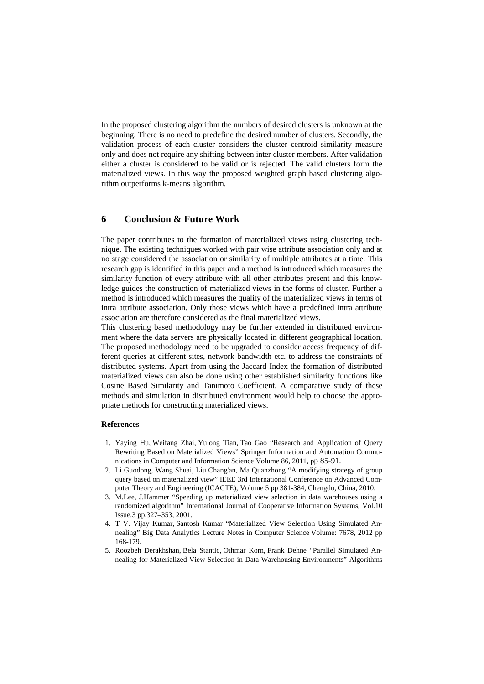In the proposed clustering algorithm the numbers of desired clusters is unknown at the beginning. There is no need to predefine the desired number of clusters. Secondly, the validation process of each cluster considers the cluster centroid similarity measure only and does not require any shifting between inter cluster members. After validation either a cluster is considered to be valid or is rejected. The valid clusters form the materialized views. In this way the proposed weighted graph based clustering algorithm outperforms k-means algorithm.

## **6 Conclusion & Future Work**

The paper contributes to the formation of materialized views using clustering technique. The existing techniques worked with pair wise attribute association only and at no stage considered the association or similarity of multiple attributes at a time. This research gap is identified in this paper and a method is introduced which measures the similarity function of every attribute with all other attributes present and this knowledge guides the construction of materialized views in the forms of cluster. Further a method is introduced which measures the quality of the materialized views in terms of intra attribute association. Only those views which have a predefined intra attribute association are therefore considered as the final materialized views.

This clustering based methodology may be further extended in distributed environment where the data servers are physically located in different geographical location. The proposed methodology need to be upgraded to consider access frequency of different queries at different sites, network bandwidth etc. to address the constraints of distributed systems. Apart from using the Jaccard Index the formation of distributed materialized views can also be done using other established similarity functions like Cosine Based Similarity and Tanimoto Coefficient. A comparative study of these methods and simulation in distributed environment would help to choose the appropriate methods for constructing materialized views.

#### **References**

- 1. [Yaying Hu,](http://link.springer.com/search?facet-author=%22Yaying+Hu%22) [Weifang Zhai,](http://link.springer.com/search?facet-author=%22Weifang+Zhai%22) [Yulong Tian,](http://link.springer.com/search?facet-author=%22Yulong+Tian%22) Tao [Gao](http://link.springer.com/search?facet-author=%22Tao+Gao%22) "Research and Application of Query Rewriting Based on Materialized Views" Springer [Information and Automation](http://link.springer.com/book/10.1007/978-3-642-19853-3) [Commu](http://link.springer.com/bookseries/7899)[nications in Computer and Information Science](http://link.springer.com/bookseries/7899) Volume 86, 2011, pp 85-91.
- 2. Li Guodong, Wang Shuai, Liu Chang'an, Ma Quanzhong "A modifying strategy of group query based on materialized view" IEEE 3rd International Conference on Advanced Computer Theory and Engineering (ICACTE), Volume 5 pp 381-384, Chengdu, China, 2010.
- 3. M.Lee, J.Hammer "Speeding up materialized view selection in data warehouses using a randomized algorithm" International Journal of Cooperative Information Systems, Vol.10 Issue.3 pp.327–353, 2001.
- 4. T V. Vijay Kumar, Santosh Kumar "Materialized View Selection Using Simulated Annealing" Big Data Analytics Lecture Notes in Computer Science Volume: 7678, 2012 pp 168-179.
- 5. Roozbeh Derakhshan, Bela Stantic, Othmar Korn, Frank Dehne "Parallel Simulated Annealing for Materialized View Selection in Data Warehousing Environments" Algorithms